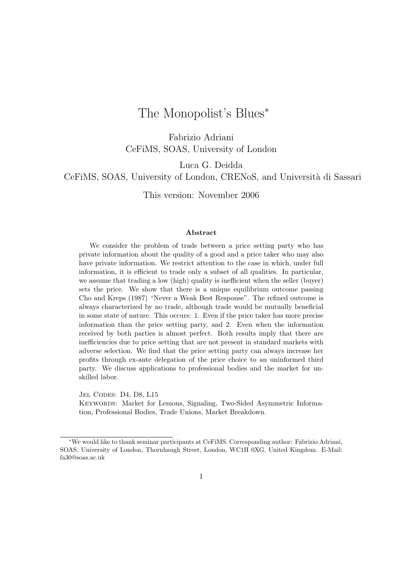# The Monopolist's Blues<sup>∗</sup>

Fabrizio Adriani CeFiMS, SOAS, University of London

Luca G. Deidda

CeFiMS, SOAS, University of London, CRENoS, and Università di Sassari

This version: November 2006

#### **Abstract**

We consider the problem of trade between a price setting party who has private information about the quality of a good and a price taker who may also have private information. We restrict attention to the case in which, under full information, it is efficient to trade only a subset of all qualities. In particular, we assume that trading a low (high) quality is inefficient when the seller (buyer) sets the price. We show that there is a unique equilibrium outcome passing Cho and Kreps (1987) "Never a Weak Best Response". The refined outcome is always characterized by no trade, although trade would be mutually beneficial in some state of nature. This occurs: 1. Even if the price taker has more precise information than the price setting party, and 2. Even when the information received by both parties is almost perfect. Both results imply that there are inefficiencies due to price setting that are not present in standard markets with adverse selection. We find that the price setting party can always increase her profits through ex-ante delegation of the price choice to an uninformed third party. We discuss applications to professional bodies and the market for unskilled labor.

JEL CODES: D4, D8, L15

KEYWORDS: Market for Lemons, Signaling, Two-Sided Asymmetric Information, Professional Bodies, Trade Unions, Market Breakdown.

<sup>∗</sup>We would like to thank seminar participants at CeFiMS. Corresponding author: Fabrizio Adriani, SOAS, University of London, Thornhaugh Street, London, WC1H 0XG, United Kingdom. E-Mail: fa30@soas.ac.uk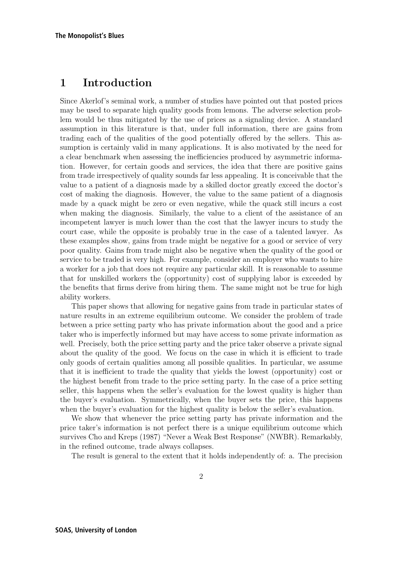# **1 Introduction**

Since Akerlof's seminal work, a number of studies have pointed out that posted prices may be used to separate high quality goods from lemons. The adverse selection problem would be thus mitigated by the use of prices as a signaling device. A standard assumption in this literature is that, under full information, there are gains from trading each of the qualities of the good potentially offered by the sellers. This assumption is certainly valid in many applications. It is also motivated by the need for a clear benchmark when assessing the inefficiencies produced by asymmetric information. However, for certain goods and services, the idea that there are positive gains from trade irrespectively of quality sounds far less appealing. It is conceivable that the value to a patient of a diagnosis made by a skilled doctor greatly exceed the doctor's cost of making the diagnosis. However, the value to the same patient of a diagnosis made by a quack might be zero or even negative, while the quack still incurs a cost when making the diagnosis. Similarly, the value to a client of the assistance of an incompetent lawyer is much lower than the cost that the lawyer incurs to study the court case, while the opposite is probably true in the case of a talented lawyer. As these examples show, gains from trade might be negative for a good or service of very poor quality. Gains from trade might also be negative when the quality of the good or service to be traded is very high. For example, consider an employer who wants to hire a worker for a job that does not require any particular skill. It is reasonable to assume that for unskilled workers the (opportunity) cost of supplying labor is exceeded by the benefits that firms derive from hiring them. The same might not be true for high ability workers.

This paper shows that allowing for negative gains from trade in particular states of nature results in an extreme equilibrium outcome. We consider the problem of trade between a price setting party who has private information about the good and a price taker who is imperfectly informed but may have access to some private information as well. Precisely, both the price setting party and the price taker observe a private signal about the quality of the good. We focus on the case in which it is efficient to trade only goods of certain qualities among all possible qualities. In particular, we assume that it is inefficient to trade the quality that yields the lowest (opportunity) cost or the highest benefit from trade to the price setting party. In the case of a price setting seller, this happens when the seller's evaluation for the lowest quality is higher than the buyer's evaluation. Symmetrically, when the buyer sets the price, this happens when the buyer's evaluation for the highest quality is below the seller's evaluation.

We show that whenever the price setting party has private information and the price taker's information is not perfect there is a unique equilibrium outcome which survives Cho and Kreps (1987) "Never a Weak Best Response" (NWBR). Remarkably, in the refined outcome, trade always collapses.

The result is general to the extent that it holds independently of: a. The precision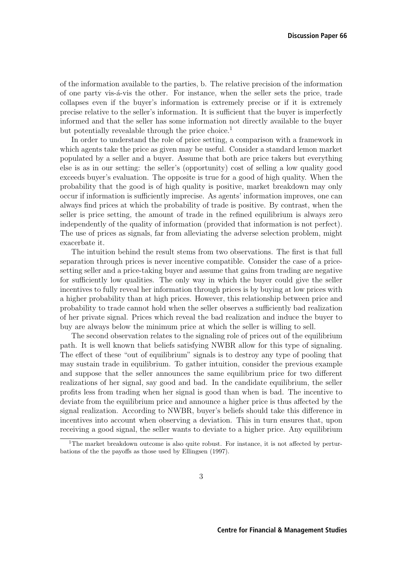of the information available to the parties, b. The relative precision of the information of one party vis-´a-vis the other. For instance, when the seller sets the price, trade collapses even if the buyer's information is extremely precise or if it is extremely precise relative to the seller's information. It is sufficient that the buyer is imperfectly informed and that the seller has some information not directly available to the buyer but potentially revealable through the price choice.<sup>1</sup>

In order to understand the role of price setting, a comparison with a framework in which agents take the price as given may be useful. Consider a standard lemon market populated by a seller and a buyer. Assume that both are price takers but everything else is as in our setting: the seller's (opportunity) cost of selling a low quality good exceeds buyer's evaluation. The opposite is true for a good of high quality. When the probability that the good is of high quality is positive, market breakdown may only occur if information is sufficiently imprecise. As agents' information improves, one can always find prices at which the probability of trade is positive. By contrast, when the seller is price setting, the amount of trade in the refined equilibrium is always zero independently of the quality of information (provided that information is not perfect). The use of prices as signals, far from alleviating the adverse selection problem, might exacerbate it.

The intuition behind the result stems from two observations. The first is that full separation through prices is never incentive compatible. Consider the case of a pricesetting seller and a price-taking buyer and assume that gains from trading are negative for sufficiently low qualities. The only way in which the buyer could give the seller incentives to fully reveal her information through prices is by buying at low prices with a higher probability than at high prices. However, this relationship between price and probability to trade cannot hold when the seller observes a sufficiently bad realization of her private signal. Prices which reveal the bad realization and induce the buyer to buy are always below the minimum price at which the seller is willing to sell.

The second observation relates to the signaling role of prices out of the equilibrium path. It is well known that beliefs satisfying NWBR allow for this type of signaling. The effect of these "out of equilibrium" signals is to destroy any type of pooling that may sustain trade in equilibrium. To gather intuition, consider the previous example and suppose that the seller announces the same equilibrium price for two different realizations of her signal, say good and bad. In the candidate equilibrium, the seller profits less from trading when her signal is good than when is bad. The incentive to deviate from the equilibrium price and announce a higher price is thus affected by the signal realization. According to NWBR, buyer's beliefs should take this difference in incentives into account when observing a deviation. This in turn ensures that, upon receiving a good signal, the seller wants to deviate to a higher price. Any equilibrium

<sup>&</sup>lt;sup>1</sup>The market breakdown outcome is also quite robust. For instance, it is not affected by perturbations of the the payoffs as those used by Ellingsen (1997).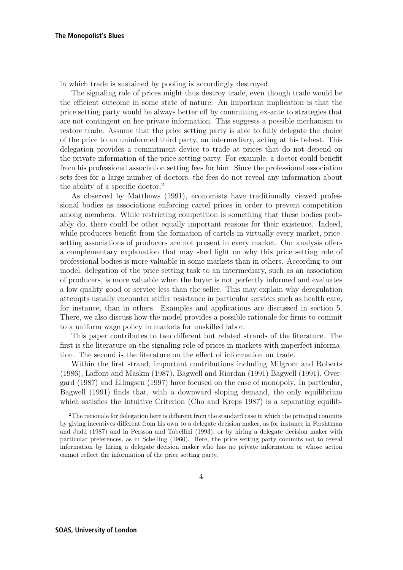in which trade is sustained by pooling is accordingly destroyed.

The signaling role of prices might thus destroy trade, even though trade would be the efficient outcome in some state of nature. An important implication is that the price setting party would be always better off by committing ex-ante to strategies that are not contingent on her private information. This suggests a possible mechanism to restore trade. Assume that the price setting party is able to fully delegate the choice of the price to an uninformed third party, an intermediary, acting at his behest. This delegation provides a commitment device to trade at prices that do not depend on the private information of the price setting party. For example, a doctor could benefit from his professional association setting fees for him. Since the professional association sets fees for a large number of doctors, the fees do not reveal any information about the ability of a specific doctor.<sup>2</sup>

As observed by Matthews (1991), economists have traditionally viewed professional bodies as associations enforcing cartel prices in order to prevent competition among members. While restricting competition is something that these bodies probably do, there could be other equally important reasons for their existence. Indeed, while producers benefit from the formation of cartels in virtually every market, pricesetting associations of producers are not present in every market. Our analysis offers a complementary explanation that may shed light on why this price setting role of professional bodies is more valuable in some markets than in others. According to our model, delegation of the price setting task to an intermediary, such as an association of producers, is more valuable when the buyer is not perfectly informed and evaluates a low quality good or service less than the seller. This may explain why deregulation attempts usually encounter stiffer resistance in particular services such as health care, for instance, than in others. Examples and applications are discussed in section 5. There, we also discuss how the model provides a possible rationale for firms to commit to a uniform wage policy in markets for unskilled labor.

This paper contributes to two different but related strands of the literature. The first is the literature on the signaling role of prices in markets with imperfect information. The second is the literature on the effect of information on trade.

Within the first strand, important contributions including Milgrom and Roberts (1986), Laffont and Maskin (1987), Bagwell and Riordan (1991) Bagwell (1991), Overgard (1987) and Ellingsen (1997) have focused on the case of monopoly. In particular, Bagwell (1991) finds that, with a downward sloping demand, the only equilibrium which satisfies the Intuitive Criterion (Cho and Kreps 1987) is a separating equilib-

<sup>&</sup>lt;sup>2</sup>The rationale for delegation here is different from the standard case in which the principal commits by giving incentives different from his own to a delegate decision maker, as for instance in Fershtman and Judd (1987) and in Persson and Tabellini (1993), or by hiring a delegate decision maker with particular preferences, as in Schelling (1960). Here, the price setting party commits not to reveal information by hiring a delegate decision maker who has no private information or whose action cannot reflect the information of the price setting party.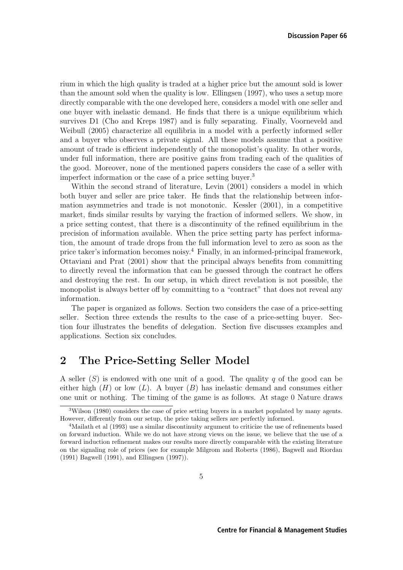rium in which the high quality is traded at a higher price but the amount sold is lower than the amount sold when the quality is low. Ellingsen (1997), who uses a setup more directly comparable with the one developed here, considers a model with one seller and one buyer with inelastic demand. He finds that there is a unique equilibrium which survives D1 (Cho and Kreps 1987) and is fully separating. Finally, Voorneveld and Weibull (2005) characterize all equilibria in a model with a perfectly informed seller and a buyer who observes a private signal. All these models assume that a positive amount of trade is efficient independently of the monopolist's quality. In other words, under full information, there are positive gains from trading each of the qualities of the good. Moreover, none of the mentioned papers considers the case of a seller with imperfect information or the case of a price setting buyer.<sup>3</sup>

Within the second strand of literature, Levin (2001) considers a model in which both buyer and seller are price taker. He finds that the relationship between information asymmetries and trade is not monotonic. Kessler (2001), in a competitive market, finds similar results by varying the fraction of informed sellers. We show, in a price setting contest, that there is a discontinuity of the refined equilibrium in the precision of information available. When the price setting party has perfect information, the amount of trade drops from the full information level to zero as soon as the price taker's information becomes noisy.<sup>4</sup> Finally, in an informed-principal framework, Ottaviani and Prat (2001) show that the principal always benefits from committing to directly reveal the information that can be guessed through the contract he offers and destroying the rest. In our setup, in which direct revelation is not possible, the monopolist is always better off by committing to a "contract" that does not reveal any information.

The paper is organized as follows. Section two considers the case of a price-setting seller. Section three extends the results to the case of a price-setting buyer. Section four illustrates the benefits of delegation. Section five discusses examples and applications. Section six concludes.

# **2 The Price-Setting Seller Model**

A seller  $(S)$  is endowed with one unit of a good. The quality q of the good can be either high  $(H)$  or low  $(L)$ . A buyer  $(B)$  has inelastic demand and consumes either one unit or nothing. The timing of the game is as follows. At stage 0 Nature draws

<sup>&</sup>lt;sup>3</sup>Wilson (1980) considers the case of price setting buyers in a market populated by many agents. However, differently from our setup, the price taking sellers are perfectly informed.

<sup>&</sup>lt;sup>4</sup>Mailath et al (1993) use a similar discontinuity argument to criticize the use of refinements based on forward induction. While we do not have strong views on the issue, we believe that the use of a forward induction refinement makes our results more directly comparable with the existing literature on the signaling role of prices (see for example Milgrom and Roberts (1986), Bagwell and Riordan (1991) Bagwell (1991), and Ellingsen (1997)).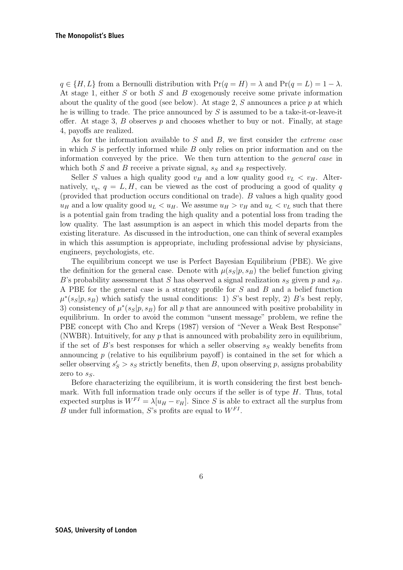$q \in \{H, L\}$  from a Bernoulli distribution with  $Pr(q = H) = \lambda$  and  $Pr(q = L) = 1 - \lambda$ . At stage 1, either S or both S and B exogenously receive some private information about the quality of the good (see below). At stage 2,  $S$  announces a price  $p$  at which he is willing to trade. The price announced by  $S$  is assumed to be a take-it-or-leave-it offer. At stage 3,  $B$  observes  $p$  and chooses whether to buy or not. Finally, at stage 4, payoffs are realized.

As for the information available to  $S$  and  $B$ , we first consider the *extreme case* in which  $S$  is perfectly informed while  $B$  only relies on prior information and on the information conveyed by the price. We then turn attention to the general case in which both S and B receive a private signal,  $s_S$  and  $s_B$  respectively.

Seller S values a high quality good  $v_H$  and a low quality good  $v_L < v_H$ . Alternatively,  $v_q$ ,  $q = L, H$ , can be viewed as the cost of producing a good of quality q (provided that production occurs conditional on trade). B values a high quality good  $u_H$  and a low quality good  $u_L < u_H$ . We assume  $u_H > v_H$  and  $u_L < v_L$  such that there is a potential gain from trading the high quality and a potential loss from trading the low quality. The last assumption is an aspect in which this model departs from the existing literature. As discussed in the introduction, one can think of several examples in which this assumption is appropriate, including professional advise by physicians, engineers, psychologists, etc.

The equilibrium concept we use is Perfect Bayesian Equilibrium (PBE). We give the definition for the general case. Denote with  $\mu(s_S|p, s_B)$  the belief function giving B's probability assessment that S has observed a signal realization  $s_S$  given p and  $s_B$ . A PBE for the general case is a strategy profile for S and B and a belief function  $\mu^*(s_S|p, s_B)$  which satisfy the usual conditions: 1) S's best reply, 2) B's best reply, 3) consistency of  $\mu^*(s_S|p, s_B)$  for all p that are announced with positive probability in equilibrium. In order to avoid the common "unsent message" problem, we refine the PBE concept with Cho and Kreps (1987) version of "Never a Weak Best Response" (NWBR). Intuitively, for any  $p$  that is announced with probability zero in equilibrium, if the set of B's best responses for which a seller observing  $s_S$  weakly benefits from announcing  $p$  (relative to his equilibrium payoff) is contained in the set for which a seller observing  $s'_{S} > s_{S}$  strictly benefits, then B, upon observing p, assigns probability zero to  $s<sub>S</sub>$ .

Before characterizing the equilibrium, it is worth considering the first best benchmark. With full information trade only occurs if the seller is of type H. Thus, total<br>expected surplus is  $W^{FI} = \lambda [u_{tt} - u_{tt}]$ . Since S is able to extract all the surplus from expected surplus is  $W^{FI} = \lambda [u_H - v_H]$ . Since S is able to extract all the surplus from B under full information. S's profits are equal to  $W^{FI}$ B under full information, S's profits are equal to  $W^{FI}$ .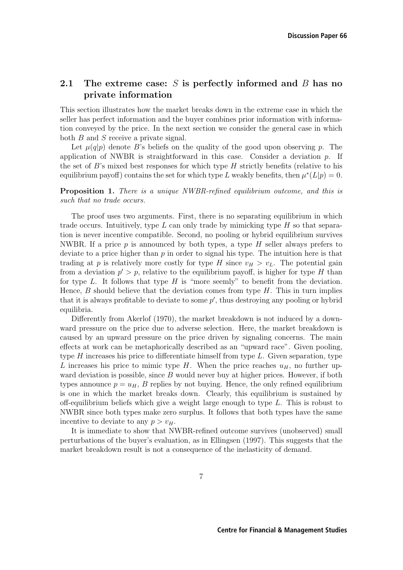## **2.1 The extreme case:** S **is perfectly informed and** B **has no private information**

This section illustrates how the market breaks down in the extreme case in which the seller has perfect information and the buyer combines prior information with information conveyed by the price. In the next section we consider the general case in which both B and S receive a private signal.

Let  $\mu(q|p)$  denote B's beliefs on the quality of the good upon observing p. The application of NWBR is straightforward in this case. Consider a deviation p. If the set of B's mixed best responses for which type  $H$  strictly benefits (relative to his equilibrium payoff) contains the set for which type L weakly benefits, then  $\mu^*(L|p) = 0$ .

**Proposition 1.** There is a unique NWBR-refined equilibrium outcome, and this is such that no trade occurs.

The proof uses two arguments. First, there is no separating equilibrium in which trade occurs. Intuitively, type  $L$  can only trade by mimicking type  $H$  so that separation is never incentive compatible. Second, no pooling or hybrid equilibrium survives NWBR. If a price  $p$  is announced by both types, a type  $H$  seller always prefers to deviate to a price higher than  $p$  in order to signal his type. The intuition here is that trading at p is relatively more costly for type H since  $v_H > v_L$ . The potential gain from a deviation  $p' > p$ , relative to the equilibrium payoff, is higher for type H than for type  $L$ . It follows that type  $H$  is "more seemly" to benefit from the deviation. Hence,  $B$  should believe that the deviation comes from type  $H$ . This in turn implies that it is always profitable to deviate to some  $p'$ , thus destroying any pooling or hybrid equilibria equilibria.

Differently from Akerlof (1970), the market breakdown is not induced by a downward pressure on the price due to adverse selection. Here, the market breakdown is caused by an upward pressure on the price driven by signaling concerns. The main effects at work can be metaphorically described as an "upward race". Given pooling, type  $H$  increases his price to differentiate himself from type  $L$ . Given separation, type L increases his price to mimic type H. When the price reaches  $u_H$ , no further upward deviation is possible, since  $B$  would never buy at higher prices. However, if both types announce  $p = u_H$ , B replies by not buying. Hence, the only refined equilibrium is one in which the market breaks down. Clearly, this equilibrium is sustained by off-equilibrium beliefs which give a weight large enough to type L. This is robust to NWBR since both types make zero surplus. It follows that both types have the same incentive to deviate to any  $p > v_H$ .

It is immediate to show that NWBR-refined outcome survives (unobserved) small perturbations of the buyer's evaluation, as in Ellingsen (1997). This suggests that the market breakdown result is not a consequence of the inelasticity of demand.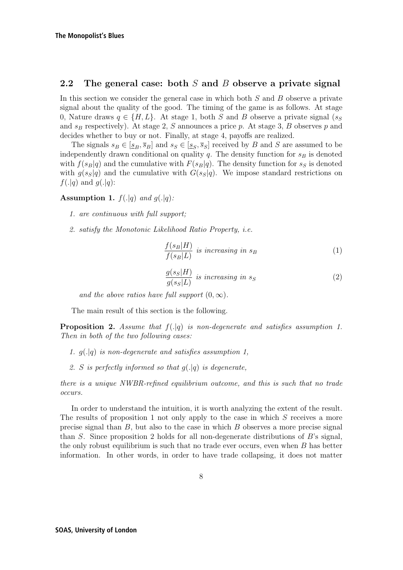### **2.2 The general case: both** S **and** B **observe a private signal**

In this section we consider the general case in which both  $S$  and  $B$  observe a private signal about the quality of the good. The timing of the game is as follows. At stage 0, Nature draws  $q \in \{H, L\}$ . At stage 1, both S and B observe a private signal  $(s_S)$ and  $s_B$  respectively). At stage 2, S announces a price p. At stage 3, B observes p and decides whether to buy or not. Finally, at stage 4, payoffs are realized.

The signals  $s_B \in [s_B, \overline{s}_B]$  and  $s_S \in [s_S, \overline{s}_S]$  received by B and S are assumed to be independently drawn conditional on quality  $q$ . The density function for  $s_B$  is denoted with  $f(s_B|q)$  and the cumulative with  $F(s_B|q)$ . The density function for  $s_S$  is denoted with  $g(s_S|q)$  and the cumulative with  $G(s_S|q)$ . We impose standard restrictions on  $f(.|q)$  and  $g(.|q)$ :

**Assumption 1.**  $f(.|q)$  and  $g(.|q)$ :

- 1. are continuous with full support;
- 2. satisfy the Monotonic Likelihood Ratio Property, i.e.

$$
\frac{f(s_B|H)}{f(s_B|L)} \text{ is increasing in } s_B \tag{1}
$$

$$
\frac{g(s_S|H)}{g(s_S|L)} \text{ is increasing in } s_S \tag{2}
$$

and the above ratios have full support  $(0, \infty)$ .

The main result of this section is the following.

**Proposition 2.** Assume that  $f(|q)$  is non-degenerate and satisfies assumption 1. Then in both of the two following cases:

- 1.  $q(.|q)$  is non-degenerate and satisfies assumption 1,
- 2. S is perfectly informed so that  $q(.)q)$  is degenerate,

there is a unique NWBR-refined equilibrium outcome, and this is such that no trade occurs.

In order to understand the intuition, it is worth analyzing the extent of the result. The results of proposition 1 not only apply to the case in which  $S$  receives a more precise signal than  $B$ , but also to the case in which  $B$  observes a more precise signal than S. Since proposition 2 holds for all non-degenerate distributions of  $B$ 's signal, the only robust equilibrium is such that no trade ever occurs, even when B has better information. In other words, in order to have trade collapsing, it does not matter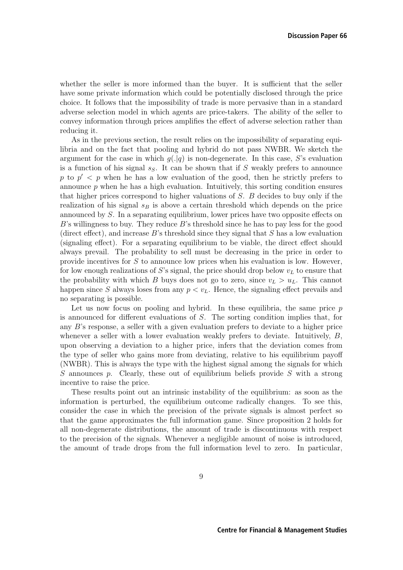whether the seller is more informed than the buyer. It is sufficient that the seller have some private information which could be potentially disclosed through the price choice. It follows that the impossibility of trade is more pervasive than in a standard adverse selection model in which agents are price-takers. The ability of the seller to convey information through prices amplifies the effect of adverse selection rather than reducing it.

As in the previous section, the result relies on the impossibility of separating equilibria and on the fact that pooling and hybrid do not pass NWBR. We sketch the argument for the case in which  $g(.|q)$  is non-degenerate. In this case, S's evaluation is a function of his signal  $s_S$ . It can be shown that if S weakly prefers to announce p to  $p' < p$  when he has a low evaluation of the good, then he strictly prefers to announce  $p$  when he has a high evaluation. Intuitively, this sorting condition ensures that higher prices correspond to higher valuations of S. B decides to buy only if the realization of his signal  $s_B$  is above a certain threshold which depends on the price announced by S. In a separating equilibrium, lower prices have two opposite effects on  $B$ 's willingness to buy. They reduce  $B$ 's threshold since he has to pay less for the good (direct effect), and increase  $B$ 's threshold since they signal that  $S$  has a low evaluation (signaling effect). For a separating equilibrium to be viable, the direct effect should always prevail. The probability to sell must be decreasing in the price in order to provide incentives for S to announce low prices when his evaluation is low. However, for low enough realizations of S's signal, the price should drop below  $v_L$  to ensure that the probability with which B buys does not go to zero, since  $v_L > u_L$ . This cannot happen since S always loses from any  $p < v<sub>L</sub>$ . Hence, the signaling effect prevails and no separating is possible.

Let us now focus on pooling and hybrid. In these equilibria, the same price  $p$ is announced for different evaluations of S. The sorting condition implies that, for any B's response, a seller with a given evaluation prefers to deviate to a higher price whenever a seller with a lower evaluation weakly prefers to deviate. Intuitively,  $B$ , upon observing a deviation to a higher price, infers that the deviation comes from the type of seller who gains more from deviating, relative to his equilibrium payoff (NWBR). This is always the type with the highest signal among the signals for which S announces p. Clearly, these out of equilibrium beliefs provide S with a strong incentive to raise the price.

These results point out an intrinsic instability of the equilibrium: as soon as the information is perturbed, the equilibrium outcome radically changes. To see this, consider the case in which the precision of the private signals is almost perfect so that the game approximates the full information game. Since proposition 2 holds for all non-degenerate distributions, the amount of trade is discontinuous with respect to the precision of the signals. Whenever a negligible amount of noise is introduced, the amount of trade drops from the full information level to zero. In particular,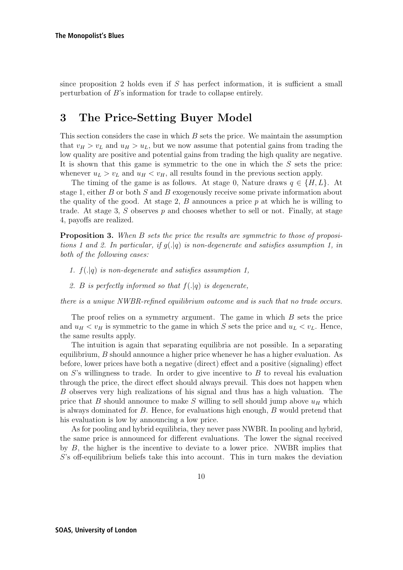since proposition 2 holds even if  $S$  has perfect information, it is sufficient a small perturbation of B's information for trade to collapse entirely.

# **3 The Price-Setting Buyer Model**

This section considers the case in which  $B$  sets the price. We maintain the assumption that  $v_H > v_L$  and  $u_H > u_L$ , but we now assume that potential gains from trading the low quality are positive and potential gains from trading the high quality are negative. It is shown that this game is symmetric to the one in which the  $S$  sets the price: whenever  $u_L > v_L$  and  $u_H < v_H$ , all results found in the previous section apply.

The timing of the game is as follows. At stage 0, Nature draws  $q \in \{H, L\}$ . At stage 1, either B or both S and B exogenously receive some private information about the quality of the good. At stage 2,  $B$  announces a price  $p$  at which he is willing to trade. At stage 3,  $S$  observes  $p$  and chooses whether to sell or not. Finally, at stage 4, payoffs are realized.

**Proposition 3.** When B sets the price the results are symmetric to those of propositions 1 and 2. In particular, if  $q(|q|)$  is non-degenerate and satisfies assumption 1, in both of the following cases:

- 1.  $f(.|q)$  is non-degenerate and satisfies assumption 1,
- 2. B is perfectly informed so that  $f(.|q)$  is degenerate,

there is a unique NWBR-refined equilibrium outcome and is such that no trade occurs.

The proof relies on a symmetry argument. The game in which B sets the price and  $u_H < v_H$  is symmetric to the game in which S sets the price and  $u_L < v_L$ . Hence, the same results apply.

The intuition is again that separating equilibria are not possible. In a separating equilibrium, B should announce a higher price whenever he has a higher evaluation. As before, lower prices have both a negative (direct) effect and a positive (signaling) effect on  $S$ 's willingness to trade. In order to give incentive to  $B$  to reveal his evaluation through the price, the direct effect should always prevail. This does not happen when B observes very high realizations of his signal and thus has a high valuation. The price that B should announce to make S willing to sell should jump above  $u_H$  which is always dominated for B. Hence, for evaluations high enough, B would pretend that his evaluation is low by announcing a low price.

As for pooling and hybrid equilibria, they never pass NWBR. In pooling and hybrid, the same price is announced for different evaluations. The lower the signal received by  $B$ , the higher is the incentive to deviate to a lower price. NWBR implies that S's off-equilibrium beliefs take this into account. This in turn makes the deviation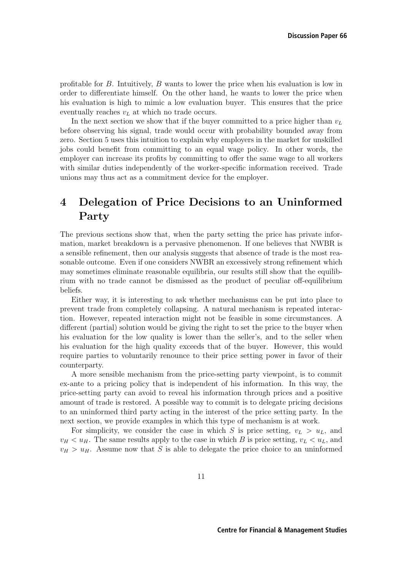profitable for B. Intuitively, B wants to lower the price when his evaluation is low in order to differentiate himself. On the other hand, he wants to lower the price when his evaluation is high to mimic a low evaluation buyer. This ensures that the price eventually reaches  $v<sub>L</sub>$  at which no trade occurs.

In the next section we show that if the buyer committed to a price higher than  $v_L$ before observing his signal, trade would occur with probability bounded away from zero. Section 5 uses this intuition to explain why employers in the market for unskilled jobs could benefit from committing to an equal wage policy. In other words, the employer can increase its profits by committing to offer the same wage to all workers with similar duties independently of the worker-specific information received. Trade unions may thus act as a commitment device for the employer.

# **4 Delegation of Price Decisions to an Uninformed Party**

The previous sections show that, when the party setting the price has private information, market breakdown is a pervasive phenomenon. If one believes that NWBR is a sensible refinement, then our analysis suggests that absence of trade is the most reasonable outcome. Even if one considers NWBR an excessively strong refinement which may sometimes eliminate reasonable equilibria, our results still show that the equilibrium with no trade cannot be dismissed as the product of peculiar off-equilibrium beliefs.

Either way, it is interesting to ask whether mechanisms can be put into place to prevent trade from completely collapsing. A natural mechanism is repeated interaction. However, repeated interaction might not be feasible in some circumstances. A different (partial) solution would be giving the right to set the price to the buyer when his evaluation for the low quality is lower than the seller's, and to the seller when his evaluation for the high quality exceeds that of the buyer. However, this would require parties to voluntarily renounce to their price setting power in favor of their counterparty.

A more sensible mechanism from the price-setting party viewpoint, is to commit ex-ante to a pricing policy that is independent of his information. In this way, the price-setting party can avoid to reveal his information through prices and a positive amount of trade is restored. A possible way to commit is to delegate pricing decisions to an uninformed third party acting in the interest of the price setting party. In the next section, we provide examples in which this type of mechanism is at work.

For simplicity, we consider the case in which S is price setting,  $v_L > u_L$ , and  $v_H < u_H$ . The same results apply to the case in which B is price setting,  $v_L < u_L$ , and  $v_H > u_H$ . Assume now that S is able to delegate the price choice to an uninformed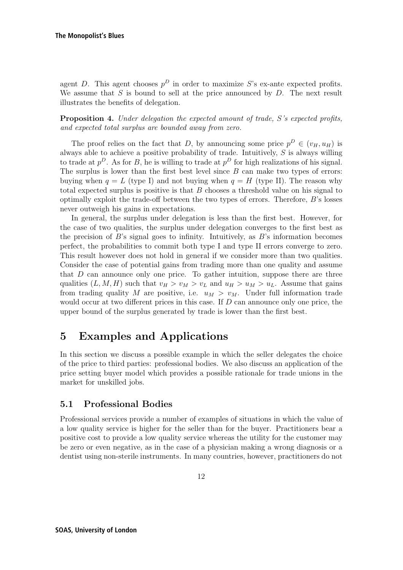agent D. This agent chooses  $p^D$  in order to maximize S's ex-ante expected profits. We assume that  $S$  is bound to sell at the price announced by  $D$ . The next result illustrates the benefits of delegation.

**Proposition 4.** Under delegation the expected amount of trade, S's expected profits, and expected total surplus are bounded away from zero.

The proof relies on the fact that D, by announcing some price  $p^D \in (v_H, u_H)$  is always able to achieve a positive probability of trade. Intuitively,  $S$  is always willing to trade at  $p^D$ . As for B, he is willing to trade at  $p^D$  for high realizations of his signal. The surplus is lower than the first best level since  $B$  can make two types of errors: buying when  $q = L$  (type I) and not buying when  $q = H$  (type II). The reason why total expected surplus is positive is that  $B$  chooses a threshold value on his signal to optimally exploit the trade-off between the two types of errors. Therefore, B's losses never outweigh his gains in expectations.

In general, the surplus under delegation is less than the first best. However, for the case of two qualities, the surplus under delegation converges to the first best as the precision of  $B$ 's signal goes to infinity. Intuitively, as  $B$ 's information becomes perfect, the probabilities to commit both type I and type II errors converge to zero. This result however does not hold in general if we consider more than two qualities. Consider the case of potential gains from trading more than one quality and assume that  $D$  can announce only one price. To gather intuition, suppose there are three qualities  $(L, M, H)$  such that  $v_H > v_M > v_L$  and  $u_H > u_M > u_L$ . Assume that gains from trading quality M are positive, i.e.  $u_M > v_M$ . Under full information trade would occur at two different prices in this case. If  $D$  can announce only one price, the upper bound of the surplus generated by trade is lower than the first best.

# **5 Examples and Applications**

In this section we discuss a possible example in which the seller delegates the choice of the price to third parties: professional bodies. We also discuss an application of the price setting buyer model which provides a possible rationale for trade unions in the market for unskilled jobs.

## **5.1 Professional Bodies**

Professional services provide a number of examples of situations in which the value of a low quality service is higher for the seller than for the buyer. Practitioners bear a positive cost to provide a low quality service whereas the utility for the customer may be zero or even negative, as in the case of a physician making a wrong diagnosis or a dentist using non-sterile instruments. In many countries, however, practitioners do not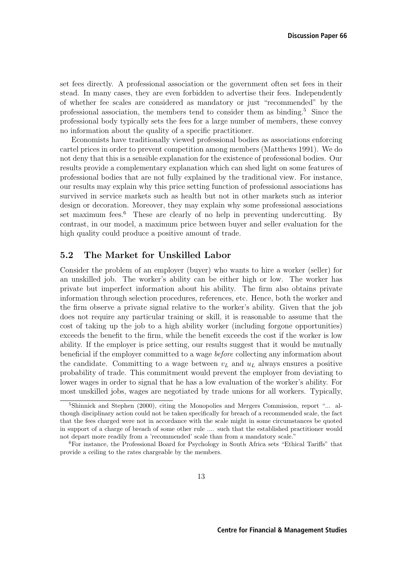set fees directly. A professional association or the government often set fees in their stead. In many cases, they are even forbidden to advertise their fees. Independently of whether fee scales are considered as mandatory or just "recommended" by the professional association, the members tend to consider them as binding.<sup>5</sup> Since the professional body typically sets the fees for a large number of members, these convey no information about the quality of a specific practitioner.

Economists have traditionally viewed professional bodies as associations enforcing cartel prices in order to prevent competition among members (Matthews 1991). We do not deny that this is a sensible explanation for the existence of professional bodies. Our results provide a complementary explanation which can shed light on some features of professional bodies that are not fully explained by the traditional view. For instance, our results may explain why this price setting function of professional associations has survived in service markets such as health but not in other markets such as interior design or decoration. Moreover, they may explain why some professional associations set maximum fees.<sup>6</sup> These are clearly of no help in preventing undercutting. By contrast, in our model, a maximum price between buyer and seller evaluation for the high quality could produce a positive amount of trade.

## **5.2 The Market for Unskilled Labor**

Consider the problem of an employer (buyer) who wants to hire a worker (seller) for an unskilled job. The worker's ability can be either high or low. The worker has private but imperfect information about his ability. The firm also obtains private information through selection procedures, references, etc. Hence, both the worker and the firm observe a private signal relative to the worker's ability. Given that the job does not require any particular training or skill, it is reasonable to assume that the cost of taking up the job to a high ability worker (including forgone opportunities) exceeds the benefit to the firm, while the benefit exceeds the cost if the worker is low ability. If the employer is price setting, our results suggest that it would be mutually beneficial if the employer committed to a wage before collecting any information about the candidate. Committing to a wage between  $v<sub>L</sub>$  and  $u<sub>L</sub>$  always ensures a positive probability of trade. This commitment would prevent the employer from deviating to lower wages in order to signal that he has a low evaluation of the worker's ability. For most unskilled jobs, wages are negotiated by trade unions for all workers. Typically,

<sup>5</sup>Shinnick and Stephen (2000), citing the Monopolies and Mergers Commission, report "... although disciplinary action could not be taken specifically for breach of a recommended scale, the fact that the fees charged were not in accordance with the scale might in some circumstances be quoted in support of a charge of breach of some other rule .... such that the established practitioner would not depart more readily from a 'recommended' scale than from a mandatory scale."

<sup>6</sup>For instance, the Professional Board for Psychology in South Africa sets "Ethical Tariffs" that provide a ceiling to the rates chargeable by the members.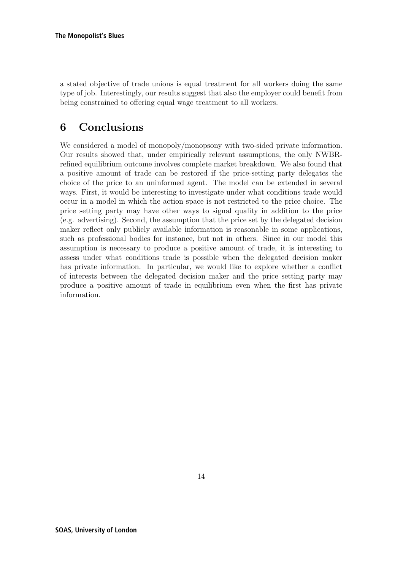a stated objective of trade unions is equal treatment for all workers doing the same type of job. Interestingly, our results suggest that also the employer could benefit from being constrained to offering equal wage treatment to all workers.

# **6 Conclusions**

We considered a model of monopoly/monopsony with two-sided private information. Our results showed that, under empirically relevant assumptions, the only NWBRrefined equilibrium outcome involves complete market breakdown. We also found that a positive amount of trade can be restored if the price-setting party delegates the choice of the price to an uninformed agent. The model can be extended in several ways. First, it would be interesting to investigate under what conditions trade would occur in a model in which the action space is not restricted to the price choice. The price setting party may have other ways to signal quality in addition to the price (e.g. advertising). Second, the assumption that the price set by the delegated decision maker reflect only publicly available information is reasonable in some applications, such as professional bodies for instance, but not in others. Since in our model this assumption is necessary to produce a positive amount of trade, it is interesting to assess under what conditions trade is possible when the delegated decision maker has private information. In particular, we would like to explore whether a conflict of interests between the delegated decision maker and the price setting party may produce a positive amount of trade in equilibrium even when the first has private information.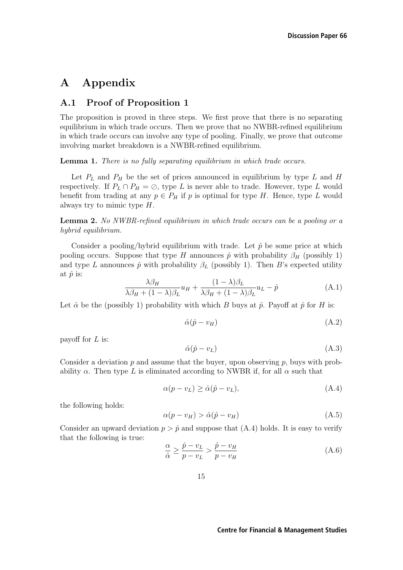# **A Appendix**

## **A.1 Proof of Proposition 1**

The proposition is proved in three steps. We first prove that there is no separating equilibrium in which trade occurs. Then we prove that no NWBR-refined equilibrium in which trade occurs can involve any type of pooling. Finally, we prove that outcome involving market breakdown is a NWBR-refined equilibrium.

**Lemma 1.** There is no fully separating equilibrium in which trade occurs.

Let  $P_L$  and  $P_H$  be the set of prices announced in equilibrium by type L and H respectively. If  $P_L \cap P_H = \emptyset$ , type L is never able to trade. However, type L would benefit from trading at any  $p \in P_H$  if p is optimal for type H. Hence, type L would always try to mimic type H.

**Lemma 2.** No NWBR-refined equilibrium in which trade occurs can be a pooling or a hybrid equilibrium.

Consider a pooling/hybrid equilibrium with trade. Let  $\hat{p}$  be some price at which pooling occurs. Suppose that type H announces  $\hat{p}$  with probability  $\beta_H$  (possibly 1) and type L announces  $\hat{p}$  with probability  $\beta_L$  (possibly 1). Then B's expected utility at  $\hat{p}$  is:

$$
\frac{\lambda \beta_H}{\lambda \beta_H + (1 - \lambda)\beta_L} u_H + \frac{(1 - \lambda)\beta_L}{\lambda \beta_H + (1 - \lambda)\beta_L} u_L - \hat{p}
$$
\n(A.1)

Let  $\hat{\alpha}$  be the (possibly 1) probability with which B buys at  $\hat{p}$ . Payoff at  $\hat{p}$  for H is:

$$
\hat{\alpha}(\hat{p} - v_H) \tag{A.2}
$$

payoff for  $L$  is:

$$
\hat{\alpha}(\hat{p} - v_L) \tag{A.3}
$$

Consider a deviation  $p$  and assume that the buyer, upon observing  $p$ , buys with probability  $\alpha$ . Then type L is eliminated according to NWBR if, for all  $\alpha$  such that

$$
\alpha(p - v_L) \ge \hat{\alpha}(\hat{p} - v_L),\tag{A.4}
$$

the following holds:

$$
\alpha(p - v_H) > \hat{\alpha}(\hat{p} - v_H) \tag{A.5}
$$

Consider an upward deviation  $p > \hat{p}$  and suppose that (A.4) holds. It is easy to verify that the following is true:

$$
\frac{\alpha}{\hat{\alpha}} \ge \frac{\hat{p} - v_L}{p - v_L} > \frac{\hat{p} - v_H}{p - v_H} \tag{A.6}
$$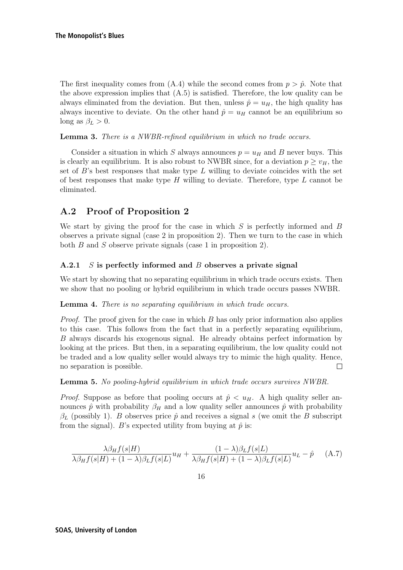The first inequality comes from  $(A.4)$  while the second comes from  $p > \hat{p}$ . Note that the above expression implies that  $(A.5)$  is satisfied. Therefore, the low quality can be always eliminated from the deviation. But then, unless  $\hat{p} = u_H$ , the high quality has always incentive to deviate. On the other hand  $\hat{p} = u_H$  cannot be an equilibrium so long as  $\beta_L > 0$ .

**Lemma 3.** There is a NWBR-refined equilibrium in which no trade occurs.

Consider a situation in which S always announces  $p = u_H$  and B never buys. This is clearly an equilibrium. It is also robust to NWBR since, for a deviation  $p \geq v_H$ , the set of  $B$ 's best responses that make type  $L$  willing to deviate coincides with the set of best responses that make type  $H$  willing to deviate. Therefore, type  $L$  cannot be eliminated.

## **A.2 Proof of Proposition 2**

We start by giving the proof for the case in which  $S$  is perfectly informed and  $B$ observes a private signal (case 2 in proposition 2). Then we turn to the case in which both B and S observe private signals (case 1 in proposition 2).

## **A.2.1** S **is perfectly informed and** B **observes a private signal**

We start by showing that no separating equilibrium in which trade occurs exists. Then we show that no pooling or hybrid equilibrium in which trade occurs passes NWBR.

## **Lemma 4.** There is no separating equilibrium in which trade occurs.

*Proof.* The proof given for the case in which  $B$  has only prior information also applies to this case. This follows from the fact that in a perfectly separating equilibrium, B always discards his exogenous signal. He already obtains perfect information by looking at the prices. But then, in a separating equilibrium, the low quality could not be traded and a low quality seller would always try to mimic the high quality. Hence, no separation is possible.  $\Box$ 

**Lemma 5.** No pooling-hybrid equilibrium in which trade occurs survives NWBR.

*Proof.* Suppose as before that pooling occurs at  $\hat{p} \lt u_H$ . A high quality seller announces  $\hat{p}$  with probability  $\beta_H$  and a low quality seller announces  $\hat{p}$  with probability  $\beta_L$  (possibly 1). B observes price  $\hat{p}$  and receives a signal s (we omit the B subscript from the signal). B's expected utility from buying at  $\hat{p}$  is:

$$
\frac{\lambda \beta_H f(s|H)}{\lambda \beta_H f(s|H) + (1 - \lambda)\beta_L f(s|L)} u_H + \frac{(1 - \lambda)\beta_L f(s|L)}{\lambda \beta_H f(s|H) + (1 - \lambda)\beta_L f(s|L)} u_L - \hat{p}
$$
 (A.7)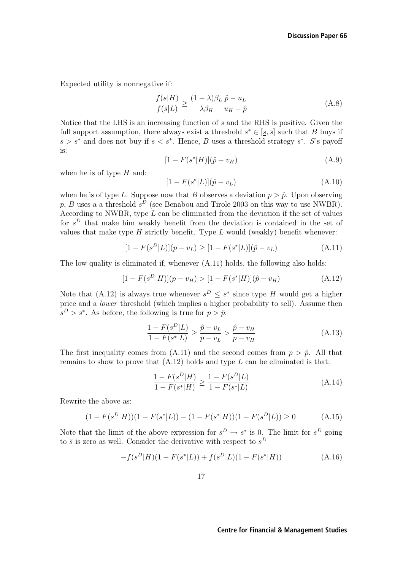Expected utility is nonnegative if:

$$
\frac{f(s|H)}{f(s|L)} \ge \frac{(1-\lambda)\beta_L}{\lambda\beta_H} \frac{\hat{p} - u_L}{u_H - \hat{p}}\tag{A.8}
$$

Notice that the LHS is an increasing function of s and the RHS is positive. Given the full support assumption, there always exist a threshold  $s^* \in [s, \overline{s}]$  such that B buys if s > s<sup>\*</sup> and does not buy if  $s < s^*$ . Hence, B uses a threshold strategy s<sup>\*</sup>. S's payoff is:

$$
[1 - F(s^*|H)](\hat{p} - v_H)
$$
\n(A.9)

when he is of type  $H$  and:

$$
[1 - F(s^*|L)](\hat{p} - v_L)
$$
 (A.10)

when he is of type L. Suppose now that B observes a deviation  $p > \hat{p}$ . Upon observing  $p \cdot R$  uses a a threshold  $e^D$  (see Benabou and Tirole 2003 on this way to use NWBB) p, B uses a a threshold  $s^D$  (see Benabou and Tirole 2003 on this way to use NWBR). According to NWBR, type L can be eliminated from the deviation if the set of values for  $s^D$  that make him weakly benefit from the deviation is contained in the set of values that make type  $H$  strictly benefit. Type  $L$  would (weakly) benefit whenever:

$$
[1 - F(s^D|L)](p - v_L) \ge [1 - F(s^*|L)](\hat{p} - v_L)
$$
\n(A.11)

The low quality is eliminated if, whenever (A.11) holds, the following also holds:

$$
[1 - F(s^D|H)](p - v_H) > [1 - F(s^*|H)](\hat{p} - v_H)
$$
\n(A.12)

Note that (A.12) is always true whenever  $s^D \leq s^*$  since type H would get a higher price and a lower threshold (which implies a higher probability to sell). Assume then  $s^D > s^*$ . As before, the following is true for  $p > \hat{p}$ .

$$
\frac{1 - F(s^D | L)}{1 - F(s^* | L)} \ge \frac{\hat{p} - v_L}{p - v_L} > \frac{\hat{p} - v_H}{p - v_H}
$$
\n(A.13)

The first inequality comes from (A.11) and the second comes from  $p > \hat{p}$ . All that remains to show to prove that  $(A.12)$  holds and type L can be eliminated is that:

$$
\frac{1 - F(s^D|H)}{1 - F(s^*|H)} \ge \frac{1 - F(s^D|L)}{1 - F(s^*|L)}
$$
\n(A.14)

Rewrite the above as:

$$
(1 - F(s^D|H))(1 - F(s^*|L)) - (1 - F(s^*|H))(1 - F(s^D|L)) \ge 0
$$
\n(A.15)

Note that the limit of the above expression for  $s^D \to s^*$  is 0. The limit for  $s^D$  going to  $\overline{s}$  is zero as well. Consider the derivative with respect to  $s^D$ 

$$
-f(s^D|H)(1 - F(s^*|L)) + f(s^D|L)(1 - F(s^*|H))
$$
\n(A.16)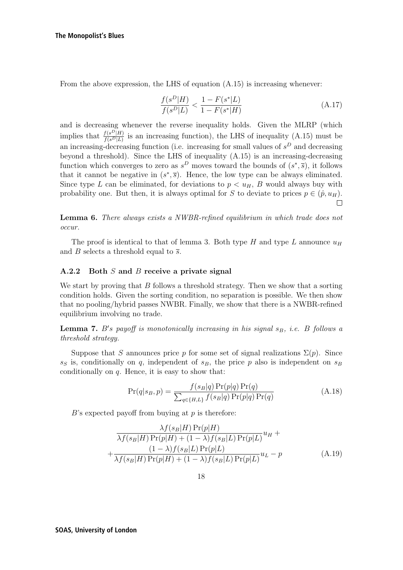From the above expression, the LHS of equation (A.15) is increasing whenever:

$$
\frac{f(s^D|H)}{f(s^D|L)} < \frac{1 - F(s^*|L)}{1 - F(s^*|H)}\tag{A.17}
$$

and is decreasing whenever the reverse inequality holds. Given the MLRP (which implies that  $\frac{f(s^D|H)}{f(s^D|L)}$  is an increasing function), the LHS of inequality (A.15) must be an increasing-decreasing function (i.e. increasing for small values of  $s<sup>D</sup>$  and decreasing beyond a threshold). Since the LHS of inequality (A.15) is an increasing-decreasing function which converges to zero as  $s^D$  moves toward the bounds of  $(s^*, \overline{s})$ , it follows that it cannot be negative in  $(s^*, \overline{s})$ . Hence, the low type can be always eliminated. Since type L can be eliminated, for deviations to  $p < u_H$ , B would always buy with probability one. But then, it is always optimal for S to deviate to prices  $p \in (\hat{p}, u_H)$ .

**Lemma 6.** There always exists a NWBR-refined equilibrium in which trade does not occur.

The proof is identical to that of lemma 3. Both type H and type L announce  $u_H$ and B selects a threshold equal to  $\overline{s}$ .

#### **A.2.2 Both** S **and** B **receive a private signal**

We start by proving that  $B$  follows a threshold strategy. Then we show that a sorting condition holds. Given the sorting condition, no separation is possible. We then show that no pooling/hybrid passes NWBR. Finally, we show that there is a NWBR-refined equilibrium involving no trade.

**Lemma 7.** B's payoff is monotonically increasing in his signal  $s_B$ , i.e. B follows a<br>threshold strategy threshold strategy.

Suppose that S announces price p for some set of signal realizations  $\Sigma(p)$ . Since  $s_S$  is, conditionally on q, independent of  $s_B$ , the price p also is independent on  $s_B$ conditionally on  $q$ . Hence, it is easy to show that:

$$
\Pr(q|s_B, p) = \frac{f(s_B|q) \Pr(p|q) \Pr(q)}{\sum_{q \in \{H, L\}} f(s_B|q) \Pr(p|q) \Pr(q)} \tag{A.18}
$$

 $B$ 's expected payoff from buying at  $p$  is therefore:

$$
\frac{\lambda f(s_B|H) \Pr(p|H)}{\lambda f(s_B|H) \Pr(p|H) + (1 - \lambda)f(s_B|L) \Pr(p|L)} u_H + \frac{(1 - \lambda)f(s_B|L) \Pr(p|L)}{\lambda f(s_B|H) \Pr(p|H) + (1 - \lambda)f(s_B|L) \Pr(p|L)} u_L - p
$$
\n(A.19)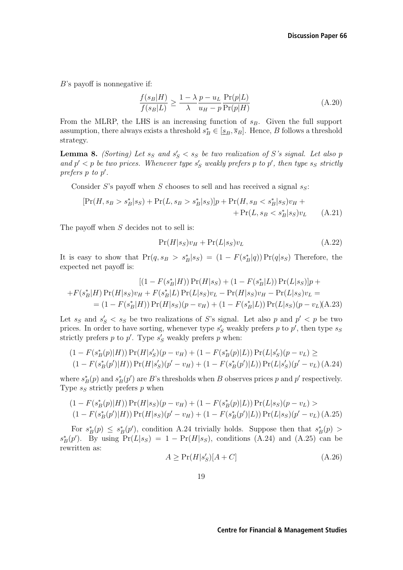B's payoff is nonnegative if:

$$
\frac{f(s_B|H)}{f(s_B|L)} \ge \frac{1 - \lambda p - u_L}{\lambda} \frac{\Pr(p|L)}{u_H - p} \frac{\Pr(p|L)}{\Pr(p|H)}\n \tag{A.20}
$$

From the MLRP, the LHS is an increasing function of  $s_B$ . Given the full support assumption, there always exists a threshold  $s_B^* \in [\underline{s}_B, \overline{s}_B]$ . Hence, B follows a threshold strategy strategy.

**Lemma 8.** (Sorting) Let  $s_S$  and  $s_S' < s_S$  be two realization of S's signal. Let also p<br>and  $r' < n$  be two prices. Whenever type  $s'$ , weakly prefers n to  $r'$ , then type  $s_S$  strictly and  $p' < p$  be two prices. Whenever type  $s'_{S}$  weakly prefers p to p', then type  $s_{S}$  strictly<br>prefers n to n' prefers p to p .

Consider S's payoff when S chooses to sell and has received a signal  $s_S$ :

$$
[\Pr(H, s_B > s_B^* | s_S) + \Pr(L, s_B > s_B^* | s_S)]p + \Pr(H, s_B < s_B^* | s_S)v_H + \Pr(L, s_B < s_B^* | s_S)v_L
$$
 (A.21)

The payoff when S decides not to sell is:

$$
Pr(H|s_S)v_H + Pr(L|s_S)v_L \tag{A.22}
$$

It is easy to show that  $Pr(q, s_B > s_B^* | s_S) = (1 - F(s_B^* | q)) Pr(q | s_S)$  Therefore, the expected net pavoff is: expected net payoff is:

$$
[(1 - F(s_B^*|H)) Pr(H|s_S) + (1 - F(s_B^*|L)) Pr(L|s_S)]p +
$$
  
+
$$
F(s_B^*|H) Pr(H|s_S)v_H + F(s_B^*|L) Pr(L|s_S)v_L - Pr(H|s_S)v_H - Pr(L|s_S)v_L =
$$
  
= 
$$
(1 - F(s_B^*|H)) Pr(H|s_S)(p - v_H) + (1 - F(s_B^*|L)) Pr(L|s_S)(p - v_L)(A.23)
$$

Let  $s_S$  and  $s_S' < s_S$  be two realizations of S's signal. Let also p and  $p' < p$  be two prices. In order to have sorting whenever type s' weakly prefers n to n' then type set prices. In order to have sorting, whenever type  $s'_{S}$  weakly prefers p to p', then type  $s_{S}$ <br>strictly prefers n to n'. Type  $s'_{S}$  weakly prefers n when: strictly prefers  $p$  to  $p'$ . Type  $s'_{S}$  weakly prefers  $p$  when:

$$
(1 - F(s_B^*(p)|H)) \Pr(H|s_S')(p - v_H) + (1 - F(s_B^*(p)|L)) \Pr(L|s_S')(p - v_L) \ge
$$
  

$$
(1 - F(s_B^*(p')|H)) \Pr(H|s_S')(p' - v_H) + (1 - F(s_B^*(p')|L)) \Pr(L|s_S')(p' - v_L) \text{ (A.24)}
$$

where  $s_B^*(p)$  and  $s_B^*(p')$  are B's thresholds when B observes prices p and p' respectively.<br>Type  $s_S$  strictly prefers n when Type  $s_S$  strictly prefers p when

$$
(1 - F(s_B^*(p)|H)) \Pr(H|s_S)(p - v_H) + (1 - F(s_B^*(p)|L)) \Pr(L|s_S)(p - v_L) >
$$
  

$$
(1 - F(s_B^*(p')|H)) \Pr(H|s_S)(p' - v_H) + (1 - F(s_B^*(p')|L)) \Pr(L|s_S)(p' - v_L) \text{ (A.25)}
$$

For  $s_B^*(p) \leq s_B^*(p')$ , condition A.24 trivially holds. Suppose then that  $s_B^*(p) > p'$ .<br>
By using  $Pr(L|s_0) = 1 - Pr(H|s_0)$  conditions (A.24) and (A.25) can be  $s_B^*(p')$ . By using  $Pr(L|s_S) = 1 - Pr(H|s_S)$ , conditions (A.24) and (A.25) can be rewritten as: rewritten as:

$$
A \ge \Pr(H|s_S')[A+C] \tag{A.26}
$$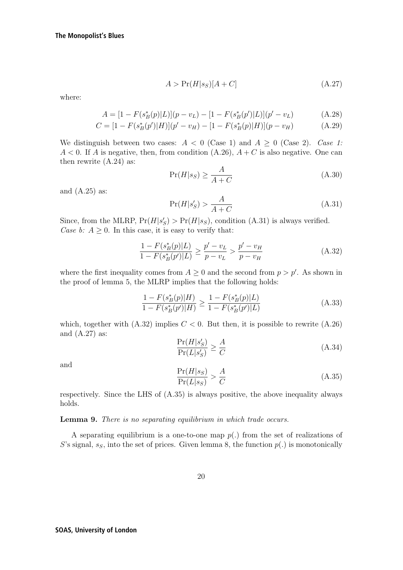$$
A > \Pr(H|s_S)[A+C] \tag{A.27}
$$

where:

$$
A = [1 - F(s_B^*(p)|L)](p - v_L) - [1 - F(s_B^*(p')|L)](p' - v_L)
$$
(A.28)

$$
C = [1 - F(s_B^*(p')|H)](p' - v_H) - [1 - F(s_B^*(p)|H)](p - v_H)
$$
\n(A.29)

We distinguish between two cases:  $A < 0$  (Case 1) and  $A \ge 0$  (Case 2). Case 1:  $A < 0$ . If A is negative, then, from condition  $(A.26)$ ,  $A + C$  is also negative. One can then rewrite  $(A.24)$  as:

$$
\Pr(H|s_S) \ge \frac{A}{A+C} \tag{A.30}
$$

and (A.25) as:

$$
\Pr(H|s'_S) > \frac{A}{A+C} \tag{A.31}
$$

Since, from the MLRP,  $Pr(H|s'_{S}) > Pr(H|s'_{S})$ , condition (A.31) is always verified.<br>Case h:  $4 > 0$  In this case, it is easy to verify that. Case b:  $A \geq 0$ . In this case, it is easy to verify that:

$$
\frac{1 - F(s_B^*(p)|L)}{1 - F(s_B^*(p')|L)} \ge \frac{p' - v_L}{p - v_L} > \frac{p' - v_H}{p - v_H}
$$
\n(A.32)

where the first inequality comes from  $A \geq 0$  and the second from  $p > p'$ . As shown in<br>the proof of lemma 5, the MLBP implies that the following holds: the proof of lemma 5, the MLRP implies that the following holds:

$$
\frac{1 - F(s_B^*(p)|H)}{1 - F(s_B^*(p')|H)} \ge \frac{1 - F(s_B^*(p)|L)}{1 - F(s_B^*(p')|L)}\tag{A.33}
$$

which, together with  $(A.32)$  implies  $C < 0$ . But then, it is possible to rewrite  $(A.26)$ and (A.27) as:

$$
\frac{\Pr(H|s'_{S})}{\Pr(L|s'_{S})} \ge \frac{A}{C}
$$
\n(A.34)

and

$$
\frac{\Pr(H|s_S)}{\Pr(L|s_S)} > \frac{A}{C} \tag{A.35}
$$

respectively. Since the LHS of (A.35) is always positive, the above inequality always holds.

**Lemma 9.** There is no separating equilibrium in which trade occurs.

A separating equilibrium is a one-to-one map  $p(.)$  from the set of realizations of S's signal,  $s_S$ , into the set of prices. Given lemma 8, the function  $p(.)$  is monotonically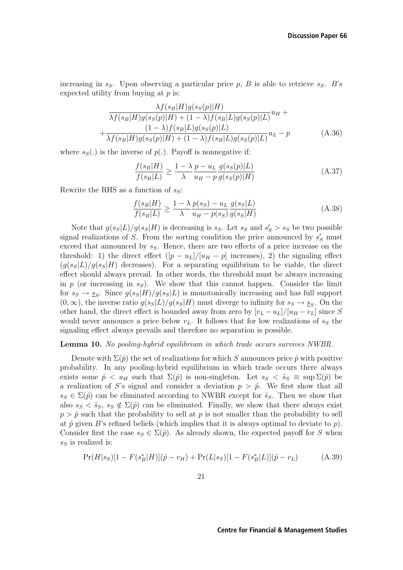increasing in  $s_S$ . Upon observing a particular price p, B is able to retrieve  $s_S$ . B's expected utility from buying at  $p$  is:

$$
\frac{\lambda f(s_B|H)g(s_S(p)|H)}{\lambda f(s_B|H)g(s_S(p)|H) + (1-\lambda)f(s_B|L)g(s_S(p)|L)}u_H + \frac{(1-\lambda)f(s_B|L)g(s_S(p)|L)}{\lambda f(s_B|H)g(s_S(p)|H) + (1-\lambda)f(s_B|L)g(s_S(p)|L)}u_L - p
$$
\n(A.36)

where  $s_S(.)$  is the inverse of  $p(.)$ . Payoff is nonnegative if:

$$
\frac{f(s_B|H)}{f(s_B|L)} \ge \frac{1 - \lambda p - u_L}{\lambda} \frac{g(s_S(p)|L)}{u_H - p} \frac{g(s_S(p)|L)}{g(s_S(p)|H)}\tag{A.37}
$$

Rewrite the RHS as a function of  $s_S$ :

$$
\frac{f(s_B|H)}{f(s_B|L)} \ge \frac{1 - \lambda p(s_S) - u_L g(s_S|L)}{\lambda u_H - p(s_S) g(s_S|H)}\tag{A.38}
$$

Note that  $g(s_s|L)/g(s_s|H)$  is decreasing is  $s_s$ . Let  $s_s$  and  $s'_s > s_s$  be two possible<br>salizations of S. From the section condition the price announced by  $s'_s$  must signal realizations of S. From the sorting condition the price announced by  $s'_S$  must<br>exceed that announced by  $s_S$ . Hence, there are two effects of a price increase on the exceed that announced by  $s_S$ . Hence, there are two effects of a price increase on the threshold: 1) the direct effect  $([p - u_L]/[u_H - p]$  increases), 2) the signaling effect  $(q(s<sub>S</sub>|L)/q(s<sub>S</sub>|H)$  decreases). For a separating equilibrium to be viable, the direct effect should always prevail. In other words, the threshold must be always increasing in p (or increasing in  $s_S$ ). We show that this cannot happen. Consider the limit for  $s_S \to s_S$ . Since  $g(s_S|H)/g(s_S|L)$  is monotonically increasing and has full support  $(0,\infty)$ , the inverse ratio  $g(s_S|L)/g(s_S|H)$  must diverge to infinity for  $s_S \to s_S$ . On the other hand, the direct effect is bounded away from zero by  $[v_L - u_L]/[u_H - v_L]$  since S would never announce a price below  $v<sub>L</sub>$ . It follows that for low realizations of  $s<sub>S</sub>$  the signaling effect always prevails and therefore no separation is possible.

#### **Lemma 10.** No pooling-hybrid equilibrium in which trade occurs survives NWBR.

Denote with  $\Sigma(\hat{p})$  the set of realizations for which S announces price  $\hat{p}$  with positive probability. In any pooling-hybrid equilibrium in which trade occurs there always exists some  $\hat{p} \lt u_H$  such that  $\Sigma(\hat{p})$  is non-singleton. Let  $s_S \lt \tilde{s}_S \equiv \sup \Sigma(\hat{p})$  be a realization of S's signal and consider a deviation  $p > \hat{p}$ . We first show that all  $s_S \in \Sigma(\hat{p})$  can be eliminated according to NWBR except for  $\tilde{s}_S$ . Then we show that also  $s_S < \tilde{s}_S$ ,  $s_S \notin \Sigma(\hat{p})$  can be eliminated. Finally, we show that there always exist  $p > \hat{p}$  such that the probability to sell at p is not smaller than the probability to sell at  $\hat{p}$  given B's refined beliefs (which implies that it is always optimal to deviate to p). Consider first the case  $s_S \in \Sigma(\hat{p})$ . As already shown, the expected payoff for S when  $s_S$  is realized is:

$$
Pr(H|s_S)[1 - F(s_B^*|H)](\hat{p} - v_H) + Pr(L|s_S)[1 - F(s_B^*|L)](\hat{p} - v_L)
$$
(A.39)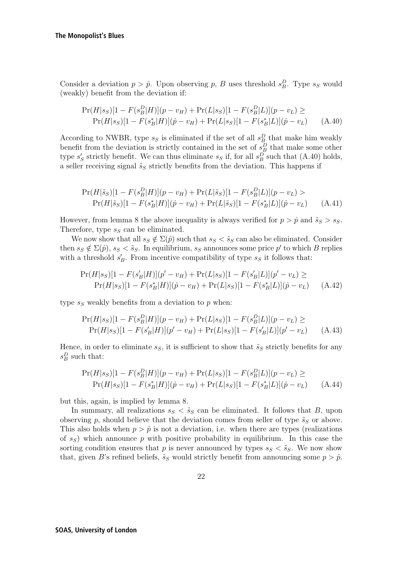Consider a deviation  $p > \hat{p}$ . Upon observing p, B uses threshold  $s_B^D$ . Type  $s_S$  would (weakly) benefit from the deviation if: (weakly) benefit from the deviation if:

$$
\Pr(H|s_S)[1 - F(s_B^D|H)](p - v_H) + \Pr(L|s_S)[1 - F(s_B^D|L)](p - v_L) \ge
$$
  
\n
$$
\Pr(H|s_S)[1 - F(s_B^*|H)](\hat{p} - v_H) + \Pr(L|s_S)[1 - F(s_B^*|L)](\hat{p} - v_L)
$$
 (A.40)

According to NWBR, type  $s_S$  is eliminated if the set of all  $s_B^D$  that make him weakly<br>benefit from the deviation is strictly contained in the set of  $s_D^D$  that make some other benefit from the deviation is strictly contained in the set of  $s_B^B$  that make some other<br>type  $s'$  strictly benefit. We can thus eliminate  $s_S$  if for all  $s^D$  such that (A 40) holds type  $s'_{S}$  strictly benefit. We can thus eliminate  $s_{S}$  if, for all  $s_{B}^{D}$  such that (A.40) holds, a seller receiving signal  $\tilde{s}_S$  strictly benefits from the deviation. This happens if

$$
\Pr(H|\tilde{s}_S)[1 - F(s_B^D|H)](p - v_H) + \Pr(L|\tilde{s}_S)[1 - F(s_B^D|L)](p - v_L) >
$$
  
\n
$$
\Pr(H|\tilde{s}_S)[1 - F(s_B^*|H)](\hat{p} - v_H) + \Pr(L|\tilde{s}_S)[1 - F(s_B^*|L)](\hat{p} - v_L)
$$
 (A.41)

However, from lemma 8 the above inequality is always verified for  $p > \hat{p}$  and  $\tilde{s}_S > s_S$ . Therefore, type  $s_S$  can be eliminated.

We now show that all  $s_S \notin \Sigma(\hat{p})$  such that  $s_S < \tilde{s}_S$  can also be eliminated. Consider then  $s_S \notin \Sigma(\hat{p}), s_S < \tilde{s}_S$ . In equilibrium,  $s_S$  announces some price  $p'$  to which B replies with a threshold  $s'_B$ . From incentive compatibility of type  $s_S$  it follows that:

$$
\Pr(H|s_S)[1 - F(s'_B|H)](p' - v_H) + \Pr(L|s_S)[1 - F(s'_B|L)](p' - v_L) \ge
$$
  
\n
$$
\Pr(H|s_S)[1 - F(s_B^*|H)](\hat{p} - v_H) + \Pr(L|s_S)[1 - F(s_B^*|L)](\hat{p} - v_L) \tag{A.42}
$$

type  $s_S$  weakly benefits from a deviation to  $p$  when:

$$
\Pr(H|s_S)[1 - F(s_B^D|H)](p - v_H) + \Pr(L|s_S)[1 - F(s_B^D|L)](p - v_L) \ge
$$
  
\n
$$
\Pr(H|s_S)[1 - F(s_B'|H)](p' - v_H) + \Pr(L|s_S)[1 - F(s_B'|L)](p' - v_L)
$$
 (A.43)

Hence, in order to eliminate  $s_S$ , it is sufficient to show that  $\tilde{s}_S$  strictly benefits for any  $s_B^D$  such that:

$$
\Pr(H|s_S)[1 - F(s_B^D|H)](p - v_H) + \Pr(L|s_S)[1 - F(s_B^D|L)](p - v_L) \ge
$$
  
\n
$$
\Pr(H|s_S)[1 - F(s_B^*|H)](\hat{p} - v_H) + \Pr(L|s_S)[1 - F(s_B^*|L)](\hat{p} - v_L)
$$
 (A.44)

but this, again, is implied by lemma 8.

In summary, all realizations  $s_S < \tilde{s}_S$  can be eliminated. It follows that B, upon observing p, should believe that the deviation comes from seller of type  $\tilde{s}_S$  or above. This also holds when  $p > \hat{p}$  is not a deviation, i.e. when there are types (realizations of  $s_S$ ) which announce p with positive probability in equilibrium. In this case the sorting condition ensures that p is never announced by types  $s_S < \tilde{s}_S$ . We now show that, given B's refined beliefs,  $\tilde{s}_S$  would strictly benefit from announcing some  $p > \hat{p}$ .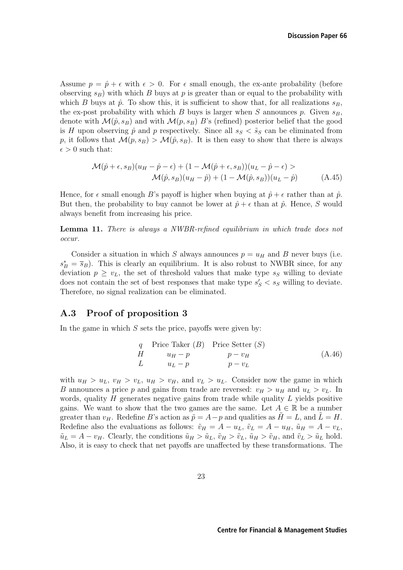Assume  $p = \hat{p} + \epsilon$  with  $\epsilon > 0$ . For  $\epsilon$  small enough, the ex-ante probability (before observing  $s_B$ ) with which B buys at p is greater than or equal to the probability with which B buys at  $\hat{p}$ . To show this, it is sufficient to show that, for all realizations  $s_B$ , the ex-post probability with which B buys is larger when S announces p. Given  $s_B$ , denote with  $\mathcal{M}(\hat{p}, s_B)$  and with  $\mathcal{M}(p, s_B)$  B's (refined) posterior belief that the good is H upon observing  $\hat{p}$  and p respectively. Since all  $s_S < \tilde{s}_S$  can be eliminated from p, it follows that  $\mathcal{M}(p, s_B) > \mathcal{M}(\hat{p}, s_B)$ . It is then easy to show that there is always  $\epsilon > 0$  such that:

$$
\mathcal{M}(\hat{p} + \epsilon, s_B)(u_H - \hat{p} - \epsilon) + (1 - \mathcal{M}(\hat{p} + \epsilon, s_B))(u_L - \hat{p} - \epsilon) >
$$
  

$$
\mathcal{M}(\hat{p}, s_B)(u_H - \hat{p}) + (1 - \mathcal{M}(\hat{p}, s_B))(u_L - \hat{p})
$$
(A.45)

Hence, for  $\epsilon$  small enough B's payoff is higher when buying at  $\hat{p} + \epsilon$  rather than at  $\hat{p}$ . But then, the probability to buy cannot be lower at  $\hat{p} + \epsilon$  than at  $\hat{p}$ . Hence, S would always benefit from increasing his price.

**Lemma 11.** There is always a NWBR-refined equilibrium in which trade does not occur.

Consider a situation in which S always announces  $p = u_H$  and B never buys (i.e.  $s_B^* = \bar{s}_B$ ). This is clearly an equilibrium. It is also robust to NWBR since, for any deviation  $n \geq v$ , the set of threshold values that make type  $s_S$  willing to deviate deviation  $p \geq v_L$ , the set of threshold values that make type  $s_S$  willing to deviate does not contain the set of best responses that make type  $s'_{S} < s_{S}$  willing to deviate.<br>Therefore, no signal realization can be eliminated Therefore, no signal realization can be eliminated.

### **A.3 Proof of proposition 3**

In the game in which  $S$  sets the price, payoffs were given by:

$$
q \text{Price Take } (B) \text{ Price Setter } (S)
$$
\n
$$
H \qquad u_H - p \qquad p - v_H
$$
\n
$$
L \qquad u_L - p \qquad p - v_L
$$
\n(A.46)

with  $u_H > u_L$ ,  $v_H > v_L$ ,  $u_H > v_H$ , and  $v_L > u_L$ . Consider now the game in which B announces a price p and gains from trade are reversed:  $v_H > u_H$  and  $u_L > v_L$ . In words, quality  $H$  generates negative gains from trade while quality  $L$  yields positive gains. We want to show that the two games are the same. Let  $A \in \mathbb{R}$  be a number greater than  $v_H$ . Redefine B's action as  $\tilde{p} = A - p$  and qualities as  $H = L$ , and  $\tilde{L} = H$ . Redefine also the evaluations as follows:  $\tilde{v}_H = A - u_L$ ,  $\tilde{v}_L = A - u_H$ ,  $\tilde{u}_H = A - v_L$ ,  $\tilde{u}_L = A - v_H$ . Clearly, the conditions  $\tilde{u}_H > \tilde{u}_L$ ,  $\tilde{v}_H > \tilde{v}_L$ ,  $\tilde{u}_H > \tilde{v}_H$ , and  $\tilde{v}_L > \tilde{u}_L$  hold. Also, it is easy to check that net payoffs are unaffected by these transformations. The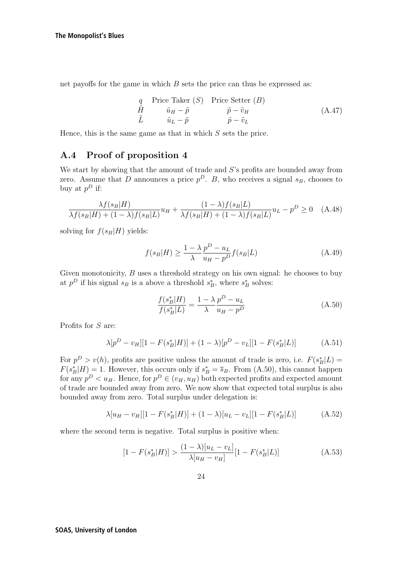net payoffs for the game in which  $B$  sets the price can thus be expressed as:

$$
\begin{array}{ll}\n q & \text{Price Take } (S) \\
 \tilde{H} & \tilde{u}_H - \tilde{p} \\
 \tilde{L} & \tilde{u}_L - \tilde{p} \\
 \end{array} \qquad\n \begin{array}{ll}\n \text{Price Setter } (B) \\
 \tilde{p} - \tilde{v}_H \\
 \tilde{p} - \tilde{v}_L\n \end{array}\n \tag{A.47}
$$

Hence, this is the same game as that in which  $S$  sets the price.

### **A.4 Proof of proposition 4**

We start by showing that the amount of trade and S's profits are bounded away from zero. Assume that D announces a price  $p^D$ . B, who receives a signal  $s_B$ , chooses to buy at  $p^D$  if:

$$
\frac{\lambda f(s_B|H)}{\lambda f(s_B|H) + (1-\lambda)f(s_B|L)}u_H + \frac{(1-\lambda)f(s_B|L)}{\lambda f(s_B|H) + (1-\lambda)f(s_B|L)}u_L - p^D \ge 0 \quad (A.48)
$$

solving for  $f(s_B|H)$  yields:

$$
f(s_B|H) \ge \frac{1 - \lambda p^D - u_L}{\lambda u_H - p^D} f(s_B|L)
$$
\n(A.49)

Given monotonicity, B uses a threshold strategy on his own signal: he chooses to buy at  $p^D$  if his signal  $s_B$  is a above a threshold  $s_B^*$ , where  $s_B^*$  solves:

$$
\frac{f(s_B^*|H)}{f(s_B^*|L)} = \frac{1 - \lambda}{\lambda} \frac{p^D - u_L}{u_H - p^D}
$$
\n(A.50)

Profits for S are:

$$
\lambda[p^D - v_H][1 - F(s_B^*|H)] + (1 - \lambda)[p^D - v_L][1 - F(s_B^*|L)] \tag{A.51}
$$

For  $p^D > v(h)$ , profits are positive unless the amount of trade is zero, i.e.  $F(s_B^* | L) = F(s^* | H) - 1$ . However, this occurs only if  $s^* = \overline{s}_D$ . From (A.50), this cannot happen  $F(s_B^*|H) = 1$ . However, this occurs only if  $s_B^* = \overline{s}_B$ . From (A.50), this cannot happen<br>for any  $p^D \leq u_{\infty}$ . Hence for  $p^D \in (u_{\infty}, u_{\infty})$  both expected profits and expected amount for any  $p^D < u_H$ . Hence, for  $p^D \in (v_H, u_H)$  both expected profits and expected amount of trade are bounded away from zero. We now show that expected total surplus is also bounded away from zero. Total surplus under delegation is:

$$
\lambda[u_H - v_H][1 - F(s_B^*|H)] + (1 - \lambda)[u_L - v_L][1 - F(s_B^*|L)] \tag{A.52}
$$

where the second term is negative. Total surplus is positive when:

$$
[1 - F(s_B^*|H)] > \frac{(1 - \lambda)[u_L - v_L]}{\lambda[u_H - v_H]} [1 - F(s_B^*|L)] \tag{A.53}
$$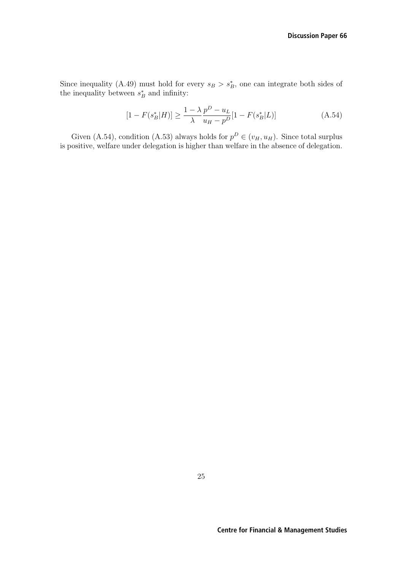Since inequality (A.49) must hold for every  $s_B > s_B^*$ , one can integrate both sides of the inequality between  $s^*$  and infinity: the inequality between  $s_B^*$  and infinity:

$$
[1 - F(s_B^*|H)] \ge \frac{1 - \lambda}{\lambda} \frac{p^D - u_L}{u_H - p^D} [1 - F(s_B^*|L)] \tag{A.54}
$$

Given (A.54), condition (A.53) always holds for  $p^D \in (v_H, u_H)$ . Since total surplus is positive, welfare under delegation is higher than welfare in the absence of delegation.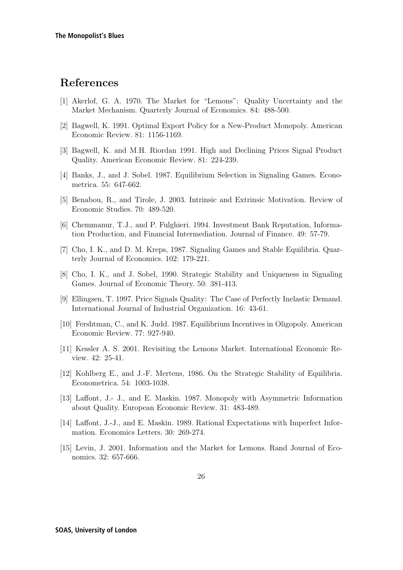## **References**

- [1] Akerlof, G. A. 1970. The Market for "Lemons": Quality Uncertainty and the Market Mechanism. Quarterly Journal of Economics. 84: 488-500.
- [2] Bagwell, K. 1991. Optimal Export Policy for a New-Product Monopoly. American Economic Review. 81: 1156-1169.
- [3] Bagwell, K. and M.H. Riordan 1991. High and Declining Prices Signal Product Quality. American Economic Review. 81: 224-239.
- [4] Banks, J., and J. Sobel. 1987. Equilibrium Selection in Signaling Games. Econometrica. 55: 647-662.
- [5] Benabou, R., and Tirole, J. 2003. Intrinsic and Extrinsic Motivation. Review of Economic Studies. 70: 489-520.
- [6] Chemmanur, T.J., and P. Fulghieri. 1994. Investment Bank Reputation, Information Production, and Financial Intermediation. Journal of Finance. 49: 57-79.
- [7] Cho, I. K., and D. M. Kreps, 1987. Signaling Games and Stable Equilibria. Quarterly Journal of Economics. 102: 179-221.
- [8] Cho, I. K., and J. Sobel, 1990. Strategic Stability and Uniqueness in Signaling Games. Journal of Economic Theory. 50: 381-413.
- [9] Ellingsen, T. 1997. Price Signals Quality: The Case of Perfectly Inelastic Demand. International Journal of Industrial Organization. 16: 43-61.
- [10] Fershtman, C., and K. Judd. 1987. Equilibrium Incentives in Oligopoly. American Economic Review. 77: 927-940.
- [11] Kessler A. S. 2001. Revisiting the Lemons Market. International Economic Review. 42: 25-41.
- [12] Kohlberg E., and J.-F. Mertens, 1986. On the Strategic Stability of Equilibria. Econometrica. 54: 1003-1038.
- [13] Laffont, J.- J., and E. Maskin. 1987. Monopoly with Asymmetric Information about Quality. European Economic Review. 31: 483-489.
- [14] Laffont, J.-J., and E. Maskin. 1989. Rational Expectations with Imperfect Information. Economics Letters. 30: 269-274.
- [15] Levin, J. 2001. Information and the Market for Lemons. Rand Journal of Economics. 32: 657-666.